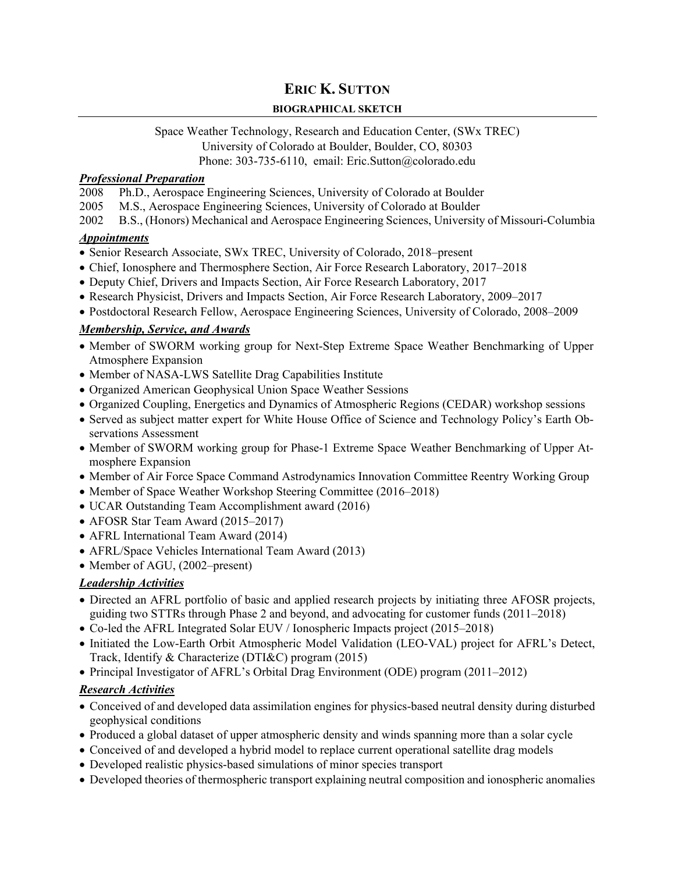## **ERIC K. SUTTON**

#### **BIOGRAPHICAL SKETCH**

# Space Weather Technology, Research and Education Center, (SWx TREC) University of Colorado at Boulder, Boulder, CO, 80303

### Phone: 303-735-6110, email: Eric.Sutton@colorado.edu

#### *Professional Preparation*

- 2008 Ph.D., Aerospace Engineering Sciences, University of Colorado at Boulder
- 2005 M.S., Aerospace Engineering Sciences, University of Colorado at Boulder
- 2002 B.S., (Honors) Mechanical and Aerospace Engineering Sciences, University of Missouri-Columbia

### *Appointments*

- Senior Research Associate, SWx TREC, University of Colorado, 2018–present
- Chief, Ionosphere and Thermosphere Section, Air Force Research Laboratory, 2017–2018
- Deputy Chief, Drivers and Impacts Section, Air Force Research Laboratory, 2017
- Research Physicist, Drivers and Impacts Section, Air Force Research Laboratory, 2009–2017
- Postdoctoral Research Fellow, Aerospace Engineering Sciences, University of Colorado, 2008–2009

### *Membership, Service, and Awards*

- Member of SWORM working group for Next-Step Extreme Space Weather Benchmarking of Upper Atmosphere Expansion
- Member of NASA-LWS Satellite Drag Capabilities Institute
- Organized American Geophysical Union Space Weather Sessions
- Organized Coupling, Energetics and Dynamics of Atmospheric Regions (CEDAR) workshop sessions
- Served as subject matter expert for White House Office of Science and Technology Policy's Earth Observations Assessment
- Member of SWORM working group for Phase-1 Extreme Space Weather Benchmarking of Upper Atmosphere Expansion
- Member of Air Force Space Command Astrodynamics Innovation Committee Reentry Working Group
- Member of Space Weather Workshop Steering Committee (2016–2018)
- UCAR Outstanding Team Accomplishment award (2016)
- AFOSR Star Team Award (2015–2017)
- AFRL International Team Award (2014)
- AFRL/Space Vehicles International Team Award (2013)
- Member of AGU, (2002–present)

### *Leadership Activities*

- Directed an AFRL portfolio of basic and applied research projects by initiating three AFOSR projects, guiding two STTRs through Phase 2 and beyond, and advocating for customer funds (2011–2018)
- Co-led the AFRL Integrated Solar EUV / Ionospheric Impacts project (2015–2018)
- Initiated the Low-Earth Orbit Atmospheric Model Validation (LEO-VAL) project for AFRL's Detect, Track, Identify & Characterize (DTI&C) program (2015)
- Principal Investigator of AFRL's Orbital Drag Environment (ODE) program (2011–2012)

#### *Research Activities*

- Conceived of and developed data assimilation engines for physics-based neutral density during disturbed geophysical conditions
- Produced a global dataset of upper atmospheric density and winds spanning more than a solar cycle
- Conceived of and developed a hybrid model to replace current operational satellite drag models
- Developed realistic physics-based simulations of minor species transport
- Developed theories of thermospheric transport explaining neutral composition and ionospheric anomalies